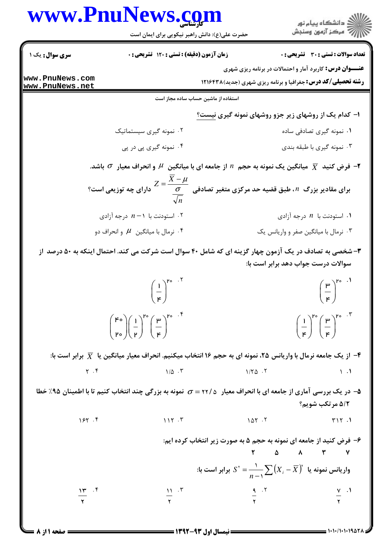| www.PnuNews.com                    | حضرت علی(ع): دانش راهبر نیکویی برای ایمان است                                                                                                                                                              |                                     | د<br>د انشڪاه پيام نور<br>* مرڪز آزمون وسنڊش                                                                                                                                                                                                                                |  |
|------------------------------------|------------------------------------------------------------------------------------------------------------------------------------------------------------------------------------------------------------|-------------------------------------|-----------------------------------------------------------------------------------------------------------------------------------------------------------------------------------------------------------------------------------------------------------------------------|--|
| سری سوال: یک ۱                     | زمان آزمون (دقیقه) : تستی : ۱۲۰ تشریحی : 0                                                                                                                                                                 |                                     | تعداد سوالات : تستي : 30 ٪ تشريحي : 0                                                                                                                                                                                                                                       |  |
| www.PnuNews.com<br>www.PnuNews.net |                                                                                                                                                                                                            |                                     | <b>عنـــوان درس:</b> کاربرد آمار و احتمالات در برنامه ریزی شهری<br><b>رشته تحصیلی/کد درس:</b> جغرافیا و برنامه ریزی شهری (جدید)۱۲۱۶۴۳۸                                                                                                                                      |  |
|                                    |                                                                                                                                                                                                            | استفاده از ماشین حساب ساده مجاز است |                                                                                                                                                                                                                                                                             |  |
|                                    |                                                                                                                                                                                                            |                                     | ۱- کدام یک از روشهای زیر جزو روشهای نمونه گیری نیست؟                                                                                                                                                                                                                        |  |
|                                    | ۰۲ نمونه گیری سیستماتیک                                                                                                                                                                                    |                                     | ۰۱ نمونه گیری تصادفی ساده                                                                                                                                                                                                                                                   |  |
|                                    | ۰۴ نمونه گیری پی در پی                                                                                                                                                                                     |                                     | ۰۳ نمونه گیری با طبقه بندی                                                                                                                                                                                                                                                  |  |
|                                    |                                                                                                                                                                                                            |                                     | ا فرض کنید $\overline{X}$ میانگین یک نمونه به حجم $n$ از جامعه ای با میانگین $\mu$ و انحراف معیار $\sigma$ باشد. $\blacksquare$                                                                                                                                             |  |
|                                    |                                                                                                                                                                                                            |                                     | برای مقادیر بزرگ $n$ ، طبق قضیه حد مرکزی متغیر تصادفی $\cfrac{X - \mu}{\sqrt{\frac{\sigma}{n}}}$ دارای چه توزیعی است؟                                                                                                                                                       |  |
|                                    | استودنت با $n - n$ درجه آزادی $n - n$                                                                                                                                                                      |                                     | $\iota$ استودنت با $n$ درجه آزادی $\iota$                                                                                                                                                                                                                                   |  |
|                                    | ۰۴ نرمال با میانگین $\,\mu\,$ و انحراف دو $\,$                                                                                                                                                             |                                     | ۰۳ نرمال با میانگین صفر و واریانس یک                                                                                                                                                                                                                                        |  |
|                                    |                                                                                                                                                                                                            |                                     | ۳- شخصی به تصادف در یک آزمون چهار گزینه ای که شامل ۴۰ سوال است شرکت می کند. احتمال اینکه به ۵۰ درصد آز<br>سوالات درست جواب دهد برابر است با:                                                                                                                                |  |
|                                    | $\left(\frac{1}{\kappa}\right)^{\mu_0}$ .                                                                                                                                                                  |                                     | $\left(\frac{\mu}{\mu}\right)^{p_0}$                                                                                                                                                                                                                                        |  |
|                                    | $\left(\begin{array}{c}\nF \circ \\ P \circ \\ P\n\end{array}\right)\n\left(\begin{array}{c}\n1 \\ -\n\end{array}\right)^{P \circ}\n\left(\begin{array}{c}\n\mu \\ -\n\end{array}\right)^{P \circ \cdots}$ |                                     | $\left(\frac{1}{\kappa}\right)^{p_0} \left(\frac{\mu}{\kappa}\right)^{p_0}$                                                                                                                                                                                                 |  |
|                                    |                                                                                                                                                                                                            |                                     | از یک جامعه نرمال با واریانس ۲۵، نمونه ای به حجم ۱۶ انتخاب میکنیم. انحراف معیار میانگین یا $\overline{X}$ برابر است با: $+$                                                                                                                                                 |  |
| $\gamma$ . $\zeta$                 | $1/\Delta$ .                                                                                                                                                                                               | 1/50.5                              | $\setminus \cdot$                                                                                                                                                                                                                                                           |  |
|                                    |                                                                                                                                                                                                            |                                     | ه- در یک بررسی آماری از جامعه ای با انحراف معیار $\sigma = \tau$ ۲۲/۵ نمونه به بزرگی چند انتخاب کنیم تا با اطمینان ۹۵٪ خطا<br>۵/۲ مرتکب شویم؟                                                                                                                               |  |
| 157.5                              | 117.7                                                                                                                                                                                                      |                                     | 105.7<br>$T \setminus T$ .                                                                                                                                                                                                                                                  |  |
|                                    |                                                                                                                                                                                                            |                                     | ۶– فرض کنید از جامعه ای نمونه به حجم ۵ به صورت زیر انتخاب کرده ایم:<br>$\begin{array}{cccccccccccccc} \mathsf{Y} & & \Delta & & \mathsf{A} & & \mathsf{Y} & & \mathsf{Y} \end{array}$<br>واریانس نمونه یا $\sum \big(X_{_i} - \overline{X}\big)^{\mathsf{v}}$ برابر است با: |  |
| $\frac{1\mathfrak{r}}{2}$ .        | $\frac{11}{10}$ $\frac{17}{10}$                                                                                                                                                                            |                                     | $\frac{9}{x}$ . T<br>$\frac{V}{\gamma}$ .                                                                                                                                                                                                                                   |  |

1.1.1.1.1957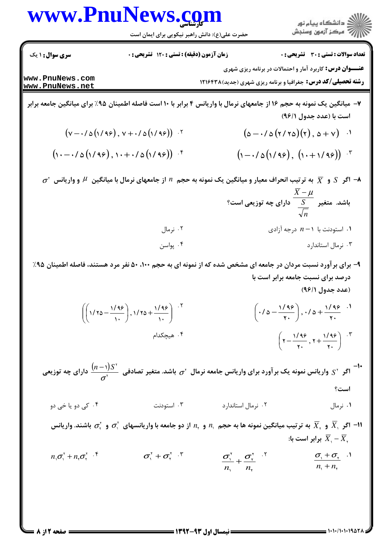حضرت علی(ع): دانش راهبر نیکویی برای ایمان است

**تعداد سوالات : تستی : 30 ٪ تشریحی : 0** 

ر<br>اللاد دانشگاه پيام نور<br>اللاد مرکز آزمون وسنجش

**سری سوال : ۱ یک** زمان آزمون (دقیقه) : تستی : 120 تشریحی : 0

**عنـــوان درس:** کاربرد آمار و احتمالات در برنامه ریزی شهری

**رشته تحصیلی/کد درس:** جغرافیا و برنامه ریزی شهری (جدید) ۱۲۱۶۴۳۸

www.PnuNews.com www.PnuNews.net

- ۷– میانگین یک نمونه به حجم ۱۶ از جامعهای نرمال با واریانس ۴ برابر با ۱۰ است فاصله اطمینان ۹۵٪ برای میانگین جامعه برابر است با (عدد جدول ۹۶/۱)
	- $(v-\frac{1}{2}(1/99), v+\frac{1}{2}(1/99))$ .  $(\Delta - \cdot / \Delta(\gamma / \gamma \Delta)(\gamma), \Delta + \gamma)$ .  $(1-\frac{1}{2}(1/99), (1+\frac{1}{9})(99))$  $(1-\frac{1}{2}(1/49), 1+\frac{1}{2}(1/49))$  f

 $\sigma^*$  اگر  $S$  و  $\overline{X}$  به ترتیب انحراف معیار و میانگین یک نمونه به حجم  $n$  از جامعهای نرمال با میانگین  $\mu$  و واریانس  $\sigma^*$ باشد. متغیر  $\dfrac{\overline{X} - \mu}{\frac{S}{\sqrt{n}}}$  دارای چه توزیعی است؟  $\lambda$ ۰۱ استودنت با  $n-1$  درجه آزادی ۰۲ نرمال ۰۴ یواسن ۰۳ نرمال استاندارد

- ۹- برای برآورد نسبت مردان در جامعه ای مشخص شده که از نمونه ای به حجم ۱۰۰، ۵۰ نفر مرد هستند، فاصله اطمینان ۹۵٪ درصد برای نسبت جامعه برابر است با (عدد جدول ۹۶/۱)
	- $\left(\frac{1}{2} \left(1-\frac{1}{r}\right), \frac{1}{2} + \frac{1}{r}\right)$  $\left(\left(\frac{\sqrt{95}}{\sqrt{70}-\frac{\sqrt{95}}{\sqrt{70}}}\right), \frac{\sqrt{95}}{\sqrt{70}-\frac{\sqrt{95}}{\sqrt{70}}}\right)^{1.5}$ ۰۴ هیچکدام  $\left(7-\frac{1/99}{x_1}, 7+\frac{1/99}{x_1}\right)^{x_1}$

-۱-<br>اگر S' واریانس نمونه یک بر آورد برای واریانس جامعه نرمال <sub>آ $\sigma$ </sub> باشد. متغیر تصادفی  $\frac{(n-1)S}{\tau^\star}$  دارای چه توزیعی است؟

۰۴ کے دو یا *خی* دو ۰۳ استودنت ۰۲ نرمال استاندارد ۰۱ نرمال

- الس اگر  $\overline{X}_s$  و  $\overline{X}_s$  به ترتیب میانگین نمونه ها به حجم  $n_i$  و  $n_i$  از دو جامعه با واریانسهای  $\sigma_i^v$  و  $\overline{X}_s$  باشند. واریانس  $\overline{X}_s$ برابر است با:  $\overline{X}_{\cdot}-\overline{X}_{\cdot}$
- $\sigma^{\gamma}$  +  $\sigma^{\gamma}$ .  $n_{\alpha}\sigma_{\alpha}^{\gamma}+n_{\alpha}\sigma_{\alpha}^{\gamma}$  .  $^{\circ}$  $\frac{\sigma_1^r}{n} + \frac{\sigma_2^r}{n}$ .  $\frac{\sigma_{\gamma}+\sigma_{\gamma}}{n+n}$  .

صفحه 2 از 8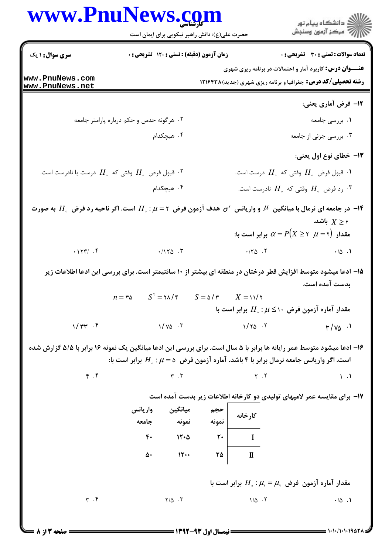|                                                                                                                                           | www.PnuNews.com<br>حضرت علی(ع): دانش راهبر نیکویی برای ایمان است    |                             |                |                                            | ِ<br>∭ دانشڪاه پيام نور<br>∭ مرڪز آزمون وسنڊش                                                                                                                                        |
|-------------------------------------------------------------------------------------------------------------------------------------------|---------------------------------------------------------------------|-----------------------------|----------------|--------------------------------------------|--------------------------------------------------------------------------------------------------------------------------------------------------------------------------------------|
| سری سوال: ۱ یک                                                                                                                            | زمان آزمون (دقیقه) : تستی : 120 تشریحی : 0                          |                             |                |                                            | <b>تعداد سوالات : تستی : 30 ٪ تشریحی : 0</b>                                                                                                                                         |
| www.PnuNews.com<br>www.PnuNews.net                                                                                                        |                                                                     |                             |                |                                            | <b>عنـــوان درس:</b> کاربرد آمار و احتمالات در برنامه ریزی شهری<br><b>رشته تحصیلی/کد درس:</b> جغرافیا و برنامه ریزی شهری (جدید) ۱۲۱۶۴۳۸                                              |
|                                                                                                                                           |                                                                     |                             |                |                                            | ۱۲- فرض آماری یعنی:                                                                                                                                                                  |
|                                                                                                                                           | ۰۲ هرگونه حدس و حکم درباره پارامتر جامعه                            |                             |                |                                            | ۰۱ بررسی جامعه                                                                                                                                                                       |
|                                                                                                                                           | ۰۴ هیچکدام                                                          |                             |                |                                            | ۰۳ بررسی جزئی از جامعه                                                                                                                                                               |
|                                                                                                                                           |                                                                     |                             |                |                                            | ۱۳- خطای نوع اول یعنی:                                                                                                                                                               |
| تا قبول فرض $H_{_\circ}$ وقتی که $H_{_\circ}$ درست یا نادرست است. $^\mathsf{y}$                                                           |                                                                     |                             |                |                                            | ۰۱ قبول فرض $H_{\circ}$ وقتی که $H_{\circ}$ درست است.                                                                                                                                |
|                                                                                                                                           | ۰۴ هیچکدام                                                          |                             |                |                                            | رد فرض $H_{_\circ}$ وقتی که $H_{_\circ}$ نادرست است. $^\star$                                                                                                                        |
| در جامعه ای نرمال با میانگین $\;\mu$ و واریانس $\;\sigma^{\rm v}$ هدف آزمون فرض $\;\tau$ است. اگر ناحیه رد فرض $H_\circ$ به صورت $\;\tau$ |                                                                     |                             |                |                                            | ۲ $\overline{X}$ باشد.<br>، مقدار $\alpha = P(\overline X \geq \overline \tau \mid \mu = \tau)$ برابر است با                                                                         |
| $.177/$ $.5$                                                                                                                              |                                                                     | $.1170$ .                   |                | $\cdot$ / $\uparrow$ $\uparrow$ $\uparrow$ | $\cdot/\Delta$ .                                                                                                                                                                     |
|                                                                                                                                           | $n = r\Delta$ $S' = r\Delta/r$ $S = \Delta/r$ $\overline{X} = 11/r$ |                             |                |                                            | ۱۵– ادعا میشود متوسط افزایش قطر درختان در منطقه ای بیشتر از ۱۰ سانتیمتر است. برای بررسی این ادعا اطلاعات زیر<br>بدست آمده است.<br>مقدار آماره آزمون فرض ۱۰ $\mu\leq\mu$ برابر است با |
| $1/\tau$ $\tau$ .                                                                                                                         | $1/\gamma_0$ . $\tau$                                               |                             |                | $1/\gamma_0$ .                             | $\frac{1}{2}$ $\sqrt{6}$                                                                                                                                                             |
| ۱۶- ادعا میشود متوسط عمر رایانه ها برابر با ۵ سال است. برای بررسی این ادعا میانگین یک نمونه ۱۶ برابر با ۵/۵ گزارش شده                     |                                                                     |                             |                |                                            | است. اگر واریانس جامعه نرمال برابر با ۴ باشد. آماره آزمون فرض $\mu=\mu$ : برابر است با:                                                                                              |
| $\mathfrak{f}$ . $\mathfrak{f}$                                                                                                           |                                                                     | $\mathbf{r}$ . $\mathbf{r}$ |                | $Y \cdot Y$                                | $\setminus$ $\cdot$ $\setminus$                                                                                                                                                      |
|                                                                                                                                           |                                                                     |                             |                |                                            | ۱۷- برای مقایسه عمر لامپهای تولیدی دو کارخانه اطلاعات زیر بدست آمده است                                                                                                              |
|                                                                                                                                           | میانگین واریانس<br>جامعه                                            | نمونه                       | حجم<br>نمونه   | كارخانه                                    |                                                                                                                                                                                      |
|                                                                                                                                           | $\mathbf{r}$ .                                                      | 15.0                        | $\mathsf{r}$ . | $\bf{I}$                                   |                                                                                                                                                                                      |
|                                                                                                                                           |                                                                     |                             |                |                                            |                                                                                                                                                                                      |
|                                                                                                                                           | ۵۰                                                                  | 15                          | ۲۵             | $\mathbf I$                                |                                                                                                                                                                                      |
|                                                                                                                                           |                                                                     |                             |                |                                            | مقدار آماره آزمون فرض $\mu_{\text{\tiny v}}=\mu_{\text{\tiny s}}: \mu_{\text{\tiny c}}=0$ برابر است با                                                                               |

صفحه 3 از 8

۱۰۱۰۱۹۵۲۱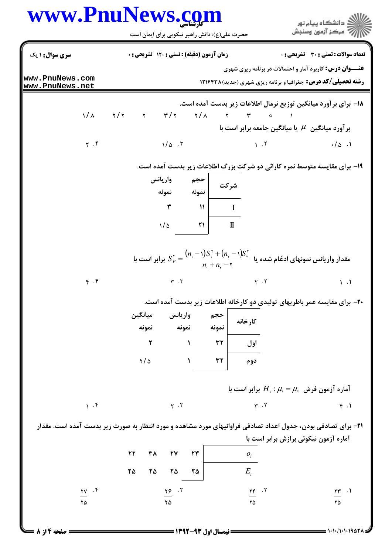|                                                                                                                       | www.PnuNews.com                                                                  | حضرت علی(ع): دانش راهبر نیکویی برای ایمان است                                                                                                                                                                                                          |                                                                                          | 7' مرڪز آزمون وسنڊش                                                                                                                     |
|-----------------------------------------------------------------------------------------------------------------------|----------------------------------------------------------------------------------|--------------------------------------------------------------------------------------------------------------------------------------------------------------------------------------------------------------------------------------------------------|------------------------------------------------------------------------------------------|-----------------------------------------------------------------------------------------------------------------------------------------|
| سری سوال: ۱ یک                                                                                                        | زمان آزمون (دقیقه) : تستی : 120 تشریحی : 0                                       |                                                                                                                                                                                                                                                        |                                                                                          | <b>تعداد سوالات : تستی : 30 ٪ تشریحی : 0</b>                                                                                            |
| www.PnuNews.com<br>www.PnuNews.net                                                                                    |                                                                                  |                                                                                                                                                                                                                                                        |                                                                                          | <b>عنـــوان درس:</b> کاربرد آمار و احتمالات در برنامه ریزی شهری<br><b>رشته تحصیلی/کد درس:</b> جغرافیا و برنامه ریزی شهری (جدید) ۱۲۱۶۴۳۸ |
|                                                                                                                       |                                                                                  |                                                                                                                                                                                                                                                        |                                                                                          | ۱۸− برای بر آورد میانگین توزیع نرمال اطلاعات زیر بدست آمده است.                                                                         |
| ヽ/ へ                                                                                                                  | ٢ /٢ - ٢ /٢ - ٢ /٢ - ٢ /٢ - ٢ /٢ - ٢ /٢ - ٢ /٢ - ٢ /٢ - ٢ /٢ - ٢ /٢ - ٢ /٢ - ٢ / |                                                                                                                                                                                                                                                        |                                                                                          |                                                                                                                                         |
|                                                                                                                       |                                                                                  |                                                                                                                                                                                                                                                        | بر آورد میانگین $\mu$ یا میانگین جامعه برابر است با                                      |                                                                                                                                         |
| $Y \cdot Y$                                                                                                           | $1/\Delta$ .                                                                     |                                                                                                                                                                                                                                                        | $\lambda$ . $\lambda$                                                                    | $\cdot/\Delta$ .                                                                                                                        |
|                                                                                                                       |                                                                                  |                                                                                                                                                                                                                                                        |                                                                                          | ۱۹- برای مقایسه متوسط نمره کارائی دو شرکت بزرگ اطلاعات زیر بدست آمده است.                                                               |
|                                                                                                                       | واريانس                                                                          | حجم                                                                                                                                                                                                                                                    |                                                                                          |                                                                                                                                         |
|                                                                                                                       | نمونه                                                                            | شركت<br>  نمونه                                                                                                                                                                                                                                        |                                                                                          |                                                                                                                                         |
|                                                                                                                       | ٣                                                                                | $\mathcal{U}$<br>$\mathbf{I}$                                                                                                                                                                                                                          |                                                                                          |                                                                                                                                         |
|                                                                                                                       | 1/8                                                                              | 21<br>$\mathbf I$                                                                                                                                                                                                                                      |                                                                                          |                                                                                                                                         |
|                                                                                                                       |                                                                                  |                                                                                                                                                                                                                                                        |                                                                                          |                                                                                                                                         |
|                                                                                                                       |                                                                                  | مقدار واریانس نمونهای ادغام شده یا $S_{\tau}^{\tau} + (n_{\tau}-\eta) S_{\tau}^{\tau} + (n_{\tau}-\eta) S_{\tau}^{\tau}$ برابر است با $S_{P}^{\tau} = \dfrac{(n_{\tau}-\eta)S_{\tau}^{\tau} + (n_{\tau}-\eta)S_{\tau}^{\tau}}{n_{\tau}+n_{\tau}-\eta}$ |                                                                                          |                                                                                                                                         |
|                                                                                                                       |                                                                                  |                                                                                                                                                                                                                                                        |                                                                                          |                                                                                                                                         |
| $\mathfrak{f}$ . $\mathfrak{f}$                                                                                       | $\Upsilon$ . $\Upsilon$                                                          |                                                                                                                                                                                                                                                        | $Y \cdot Y$                                                                              | $\setminus \cdot$                                                                                                                       |
|                                                                                                                       |                                                                                  |                                                                                                                                                                                                                                                        |                                                                                          | +۲- برای مقایسه عمر باطریهای تولیدی دو کارخانه اطلاعات زیر بدست آمده است.                                                               |
|                                                                                                                       | واريانس<br>ميانگين                                                               | حجم                                                                                                                                                                                                                                                    | كارخانه                                                                                  |                                                                                                                                         |
|                                                                                                                       | نمونه<br>نمونه                                                                   | نمونه                                                                                                                                                                                                                                                  |                                                                                          |                                                                                                                                         |
|                                                                                                                       |                                                                                  |                                                                                                                                                                                                                                                        |                                                                                          |                                                                                                                                         |
|                                                                                                                       | ٢                                                                                | $\tau\tau$<br>$\mathbf{A}$                                                                                                                                                                                                                             | اول                                                                                      |                                                                                                                                         |
|                                                                                                                       | $\frac{1}{2}$                                                                    | $\mathbf{r}$<br>$\mathbf{A}$                                                                                                                                                                                                                           | دوم                                                                                      |                                                                                                                                         |
|                                                                                                                       |                                                                                  |                                                                                                                                                                                                                                                        |                                                                                          |                                                                                                                                         |
|                                                                                                                       |                                                                                  |                                                                                                                                                                                                                                                        | آماره آزمون فرض $\mu_{\scriptscriptstyle\vee}=\mu_{\scriptscriptstyle\vee}$ برابر است با |                                                                                                                                         |
| 1.9                                                                                                                   | $\Upsilon$ . $\Upsilon$                                                          |                                                                                                                                                                                                                                                        | $Y \cdot Y$                                                                              | f.1                                                                                                                                     |
|                                                                                                                       |                                                                                  |                                                                                                                                                                                                                                                        |                                                                                          |                                                                                                                                         |
| <b>۳۱</b> – برای تصادفی بودن، جدول اعداد تصادفی فراوانیهای مورد مشاهده و مورد انتظار به صورت زیر بدست آمده است. مقدار |                                                                                  |                                                                                                                                                                                                                                                        |                                                                                          |                                                                                                                                         |
|                                                                                                                       | ٣٨<br><b>٢٧</b><br>٢٢                                                            | $\mathbf{r}\mathbf{r}$                                                                                                                                                                                                                                 | آماره آزمون نیکوئی برازش برابر است با                                                    |                                                                                                                                         |
|                                                                                                                       |                                                                                  |                                                                                                                                                                                                                                                        | $O_i$                                                                                    |                                                                                                                                         |
| $\frac{y}{x}$ . $\zeta$                                                                                               | ٢۵<br>۲۵<br>۲۵<br>$\frac{18}{10}$ .                                              | ۲۵                                                                                                                                                                                                                                                     | $E_i$<br>$\frac{\gamma \epsilon}{\gamma}$ .                                              | $\frac{1}{\sqrt{2}}$ .                                                                                                                  |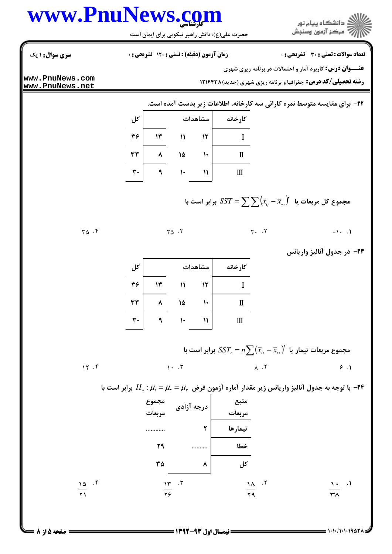ا<br>||<br>||7|| مرکز آزمون وسنجش

حضرت علی(ع): دانش راهبر نیکویی برای ایمان است

**تعداد سوالات : تستی : 30 ٪ تشریحی : 0** 

زمان آزمون (دقیقه) : تستی : 120 تشریحی: 0

**سری سوال : ۱ یک** 

**عنـــوان درس:** کاربرد آمار و احتمالات در برنامه ریزی شهری

**رشته تحصیلی/کد درس:** جغرافیا و برنامه ریزی شهری (جدید) ۱۲۱۶۴۳۸

www.PnuNews.com www.PnuNews.net

 $Y\Delta$ .

 $15.5$ 

٢٢- براي مقايسه متوسط نمره كارائي سه كارخانه، اطلاعات زير بدست آمده است.

| کل |    | مشاهدات      | كارخانه |   |
|----|----|--------------|---------|---|
| ٣۶ | ۱۳ | ١١           | ۱۲      |   |
| ٣٣ |    | ١۵           | ١٠      | П |
| ٣٠ |    | $\mathsf{L}$ | ١١      | Ш |

مجموع کل مربعات یا س $\sum \bigl(x^{\phantom{\dagger}}_{ij}-\bar{x}^{\phantom{\dagger}}_{\circ\circ}\bigr)$ یرابر است با

 $\mathsf{Y}\mathsf{Q}$ . $\mathsf{Y}$  $Y - Y$  $-1$   $\cdot$   $\cdot$   $\cdot$ 

**۲۳**- در جدول آنالیز واریانس

| کل |    | مشاهدات | كارخانه |                                   |
|----|----|---------|---------|-----------------------------------|
| ٣۶ | ۱۳ | ١١      | ۱۲      |                                   |
|    |    |         |         |                                   |
| ٣٣ |    | ۱۵      | ۱۰      | П                                 |
| ۳. |    | ١٠      | ١١      | $\mathop{\mathrm{I\!I}}\nolimits$ |

مجموع مربعات تیمار یا  $\overline{ \overline{x}_i - \overline{x}_{{\circ}{\circ}}} \big( \overline{x}_i - \overline{x}_{{\circ}{\circ}} \big)^{v}$  برابر است با  $\Lambda$  . T  $\mathcal{N}$ .  $\mathcal{N}$  $\epsilon$ .

با توجه به جدول آنالیز واریانس زیر مقدار آماره آزمون فرض  $\mu_{\rm v}=\mu_{\rm v}=\mu_{\rm v}$  برابر است با  $-$ ۴۴  $-$ 

|                        | مجموع<br>درجه آزادی                                    | منبع<br>مربعات |          |                               |
|------------------------|--------------------------------------------------------|----------------|----------|-------------------------------|
|                        | ۲                                                      | تيمارها        |          |                               |
| ٢٩                     |                                                        | خطا            |          |                               |
| ٣۵                     | ۸                                                      | کل ِ           |          |                               |
| 10.7<br>$\overline{Y}$ | $\mathcal{W}$ $\mathcal{F}$<br>$\overline{\mathbf{y}}$ | 29             | .7<br>۱۸ | $\cdot$<br>١.<br>$\tau\wedge$ |

 $= 1.1.11.111007$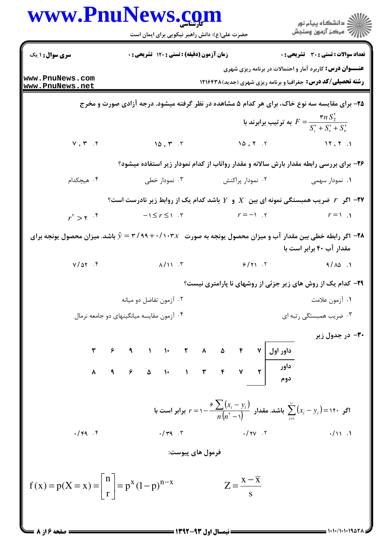|                                                                                          | www.PnuNews.com<br>حضرت علی(ع): دانش راهبر نیکویی برای ایمان است                                                             |                                                                                                            | ر<br>ران دانشگاه پيام نور<br>ران مرکز آزمون وسنجش                                                                                       |
|------------------------------------------------------------------------------------------|------------------------------------------------------------------------------------------------------------------------------|------------------------------------------------------------------------------------------------------------|-----------------------------------------------------------------------------------------------------------------------------------------|
| <b>سری سوال : ۱ یک</b>                                                                   | زمان آزمون (دقیقه) : تستی : 120 تشریحی : 0                                                                                   |                                                                                                            | <b>تعداد سوالات : تستی : 30 - تشریحی : 0</b>                                                                                            |
| www.PnuNews.com<br>www.PnuNews.net                                                       |                                                                                                                              | <b>رشته تحصیلی/کد درس:</b> جغرافیا و برنامه ریزی شهری (جدید)۱۲۱۶۴۳۸                                        | <b>عنـــوان درس:</b> کاربرد آمار و احتمالات در برنامه ریزی شهری                                                                         |
|                                                                                          | ۲۵- برای مقایسه سه نوع خاک، برای هر کدام ۵ مشاهده در نظر گرفته میشود. درجه آزادی صورت و مخرج                                 |                                                                                                            |                                                                                                                                         |
|                                                                                          |                                                                                                                              |                                                                                                            | به ترتیب برابرند با $F = \frac{{\bf v}{n}\, S_{\bar{{\bf x}}}^{{\bf v}}}{S_{\bf v}^{{\bf v}}+S_{\bf v}^{{\bf v}}+S_{\bf v}^{{\bf v}}},$ |
| $v, r$ . $r$                                                                             | 10, 7.7                                                                                                                      | 10, 7, 7                                                                                                   |                                                                                                                                         |
|                                                                                          | ۲۶- برای بررسی رابطه مقدار بارش سالانه و مقدار رواناب از کدام نمودار زیر استفاده میشود؟                                      |                                                                                                            |                                                                                                                                         |
| ۰۴ هیچکدام                                                                               | ۰۳ نمودار خطی                                                                                                                | ۰۲ نمودار پراکنش                                                                                           | ۰۱ نمودار سهمی                                                                                                                          |
|                                                                                          | اگر $r$ ضریب همبستگی نمونه ای بین $X$ و $Y$ باشد کدام یک از روابط زیر نادرست است؟ $\bullet$                                  |                                                                                                            |                                                                                                                                         |
| $r^{\prime} > r$ . $\zeta$                                                               | $-1 \leq r \leq 1$ . "                                                                                                       | $r = -1$ .                                                                                                 | $r = 1$ .                                                                                                                               |
|                                                                                          | ه اگر رابطه خطی بین مقدار آب و میزان محصول یونجه به صورت $x\to\gamma$ ۹۹+۰/۱۰۳٪ به شد. میزان محصول یونجه برای $\mathfrak{f}$ |                                                                                                            | مقدار آب ۴۰ برابر است با                                                                                                                |
| $V/\Delta Y$ .                                                                           | $\lambda/\gamma$ . T                                                                                                         | 9/11.7                                                                                                     | $9/\lambda\delta$ .                                                                                                                     |
|                                                                                          |                                                                                                                              | <b>۲۹</b> - کدام یک از روش های زیر جزئی از روشهای نا پارامتری نیست؟                                        |                                                                                                                                         |
|                                                                                          | ۰۲ آزمون تفاضل دو میانه                                                                                                      |                                                                                                            | ۰۱ آزمون علامت                                                                                                                          |
|                                                                                          | ۰۴ آزمون مقایسه میانگینهای دو جامعه نرمال                                                                                    |                                                                                                            | ۰۳ ضریب همبستگی رتبه ای                                                                                                                 |
|                                                                                          |                                                                                                                              |                                                                                                            | ۳۰– در جدول زیر                                                                                                                         |
|                                                                                          |                                                                                                                              |                                                                                                            |                                                                                                                                         |
|                                                                                          |                                                                                                                              |                                                                                                            |                                                                                                                                         |
|                                                                                          |                                                                                                                              | اگر ۱۲۰ $(x_i - y_i) \ge \sum_{i=1}^n (x_i - y_i)$ باشد. مقدار $\sum_{i=1}^n (x_i - y_i) = 1$ برابر است با |                                                                                                                                         |
| .14.7                                                                                    |                                                                                                                              | $\cdot$ /rq $\cdot$ $\cdot$                                                                                | $\frac{1}{2}$                                                                                                                           |
|                                                                                          | فرمول هاي پيوست:                                                                                                             |                                                                                                            |                                                                                                                                         |
| $f(x) = p(X = x) = \left  \begin{array}{c} n \\ r \end{array} \right  = p^x (1-p)^{n-x}$ |                                                                                                                              | $Z = \frac{x - \overline{x}}{s}$                                                                           |                                                                                                                                         |
|                                                                                          |                                                                                                                              |                                                                                                            |                                                                                                                                         |

 $= 1.1 - 11.1 - 19.87$ 

 $=$  صفحه ۱۶ز ۸ ک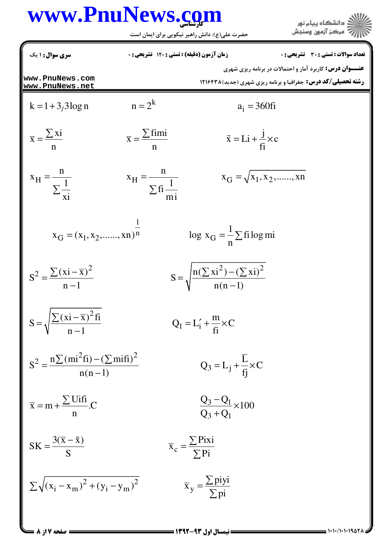ے<br>کا اللہ کا دانشگاہ پیام نور<br>کا اللہ

حضرت علی(ع): دانش راهبر نیکویی برای ایمان است

| سری سوال: ۱ یک                                               | زمان آزمون (دقیقه) : تستی : 120 تشریحی : 0  |                                                                                   | تعداد سوالات : تستي : 30 ٪ تشريحي : 0                                                                                                   |
|--------------------------------------------------------------|---------------------------------------------|-----------------------------------------------------------------------------------|-----------------------------------------------------------------------------------------------------------------------------------------|
| www.PnuNews.com<br>www.PnuNews.net                           |                                             |                                                                                   | <b>عنـــوان درس:</b> کاربرد آمار و احتمالات در برنامه ریزی شهری<br><b>رشته تحصیلی/کد درس:</b> جغرافیا و برنامه ریزی شهری (جدید) ۱۲۱۶۴۳۸ |
| $k = 1 + 3/3 \log n$                                         | $n = 2^k$                                   | $a_i = 360$ fi                                                                    |                                                                                                                                         |
| $\overline{x} = \frac{\sum x_i}{\sum x_i}$                   | $\overline{x} = \frac{\sum \text{fimi}}{x}$ | $\tilde{x} = Li + \frac{J}{f} \times c$                                           |                                                                                                                                         |
| $x_{\rm H} = \frac{1}{\sum_{\rm vi}^{1}}$                    | $x_H = \frac{H}{\sum f_i \frac{1}{m}}$      | $x_G = \sqrt{x_1, x_2, \dots, x_n}$                                               |                                                                                                                                         |
| $X_{\text{G}} = (X_1, X_2, \dots, X_n)^{\frac{1}{n}}$        |                                             | $\log x_G = \frac{1}{n} \sum f$ ilog mi                                           |                                                                                                                                         |
| $S^2 = \frac{\sum (xi - \overline{x})^2}{n-1}$               |                                             | $S = \sqrt{\frac{n(\sum x i^2) - (\sum x i)^2}{n(n-1)}}$                          |                                                                                                                                         |
| $S = \sqrt{\frac{\sum (xi - \overline{x})^2 f_i}{n-1}}$      |                                             | $Q_1 = L'_1 + \frac{m}{f_1} \times C$                                             |                                                                                                                                         |
| $S^{2} = \frac{n \sum (mi^{2}fi) - (\sum mifi)^{2}}{n(n-1)}$ |                                             | $Q_3 = L_j + \frac{L}{fi} \times C$                                               |                                                                                                                                         |
| $\overline{x} = m + \frac{\sum \text{Uifi}}{n}$ .C           |                                             | $\frac{Q_3 - Q_1}{Q_3 + Q_1} \times 100$                                          |                                                                                                                                         |
| $SK = \frac{3(\overline{x} - \tilde{x})}{S}$                 |                                             | $\overline{x}_c = \frac{\sum \overline{P} i \overline{x} i}{\sum \overline{P} i}$ |                                                                                                                                         |
| $\sum \sqrt{(x_i - x_m)^2 + (y_i - y_m)^2}$                  |                                             | $\overline{x}_y = \frac{\sum p_i y_i}{\sum p_i}$                                  |                                                                                                                                         |
| <b>صفحه 7 از 8</b>                                           |                                             | = نیمسال اول ۹۳-۱۳۹۲ =                                                            |                                                                                                                                         |